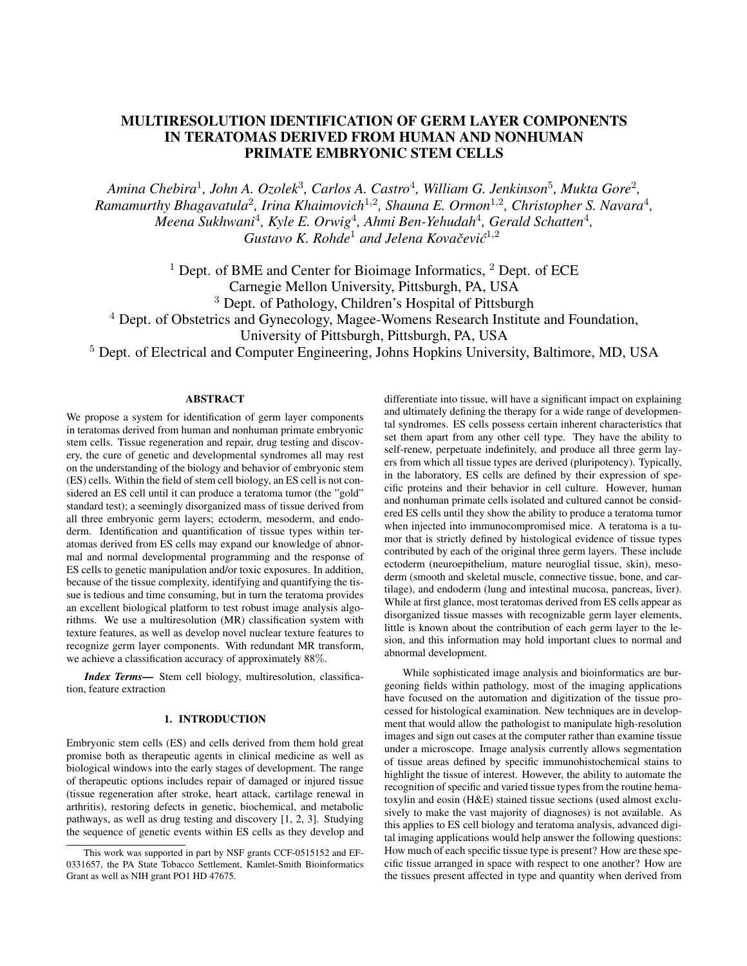# MULTIRESOLUTION IDENTIFICATION OF GERM LAYER COMPONENTS IN TERATOMAS DERIVED FROM HUMAN AND NONHUMAN PRIMATE EMBRYONIC STEM CELLS

*Amina Chebira*<sup>1</sup> *, John A. Ozolek*<sup>3</sup> *, Carlos A. Castro*<sup>4</sup> *, William G. Jenkinson*<sup>5</sup> *, Mukta Gore*<sup>2</sup> *,* Ramamurthy Bhagavatula<sup>2</sup>, Irina Khaimovich<sup>1,2</sup>, Shauna E. Ormon<sup>1,2</sup>, Christopher S. Navara<sup>4</sup>, *Meena Sukhwani*<sup>4</sup> *, Kyle E. Orwig*<sup>4</sup> *, Ahmi Ben-Yehudah*<sup>4</sup> *, Gerald Schatten*<sup>4</sup> *,* Gustavo K. Rohde<sup>1</sup> and Jelena Kovačević<sup>1,2</sup>

 $1$  Dept. of BME and Center for Bioimage Informatics,  $2$  Dept. of ECE Carnegie Mellon University, Pittsburgh, PA, USA <sup>3</sup> Dept. of Pathology, Children's Hospital of Pittsburgh <sup>4</sup> Dept. of Obstetrics and Gynecology, Magee-Womens Research Institute and Foundation,

University of Pittsburgh, Pittsburgh, PA, USA

<sup>5</sup> Dept. of Electrical and Computer Engineering, Johns Hopkins University, Baltimore, MD, USA

#### ABSTRACT

We propose a system for identification of germ layer components in teratomas derived from human and nonhuman primate embryonic stem cells. Tissue regeneration and repair, drug testing and discovery, the cure of genetic and developmental syndromes all may rest on the understanding of the biology and behavior of embryonic stem (ES) cells. Within the field of stem cell biology, an ES cell is not considered an ES cell until it can produce a teratoma tumor (the "gold" standard test); a seemingly disorganized mass of tissue derived from all three embryonic germ layers; ectoderm, mesoderm, and endoderm. Identification and quantification of tissue types within teratomas derived from ES cells may expand our knowledge of abnormal and normal developmental programming and the response of ES cells to genetic manipulation and/or toxic exposures. In addition, because of the tissue complexity, identifying and quantifying the tissue is tedious and time consuming, but in turn the teratoma provides an excellent biological platform to test robust image analysis algorithms. We use a multiresolution (MR) classification system with texture features, as well as develop novel nuclear texture features to recognize germ layer components. With redundant MR transform, we achieve a classification accuracy of approximately 88%.

*Index Terms*— Stem cell biology, multiresolution, classification, feature extraction

# 1. INTRODUCTION

Embryonic stem cells (ES) and cells derived from them hold great promise both as therapeutic agents in clinical medicine as well as biological windows into the early stages of development. The range of therapeutic options includes repair of damaged or injured tissue (tissue regeneration after stroke, heart attack, cartilage renewal in arthritis), restoring defects in genetic, biochemical, and metabolic pathways, as well as drug testing and discovery [1, 2, 3]. Studying the sequence of genetic events within ES cells as they develop and differentiate into tissue, will have a significant impact on explaining and ultimately defining the therapy for a wide range of developmental syndromes. ES cells possess certain inherent characteristics that set them apart from any other cell type. They have the ability to self-renew, perpetuate indefinitely, and produce all three germ layers from which all tissue types are derived (pluripotency). Typically, in the laboratory, ES cells are defined by their expression of specific proteins and their behavior in cell culture. However, human and nonhuman primate cells isolated and cultured cannot be considered ES cells until they show the ability to produce a teratoma tumor when injected into immunocompromised mice. A teratoma is a tumor that is strictly defined by histological evidence of tissue types contributed by each of the original three germ layers. These include ectoderm (neuroepithelium, mature neuroglial tissue, skin), mesoderm (smooth and skeletal muscle, connective tissue, bone, and cartilage), and endoderm (lung and intestinal mucosa, pancreas, liver). While at first glance, most teratomas derived from ES cells appear as disorganized tissue masses with recognizable germ layer elements, little is known about the contribution of each germ layer to the lesion, and this information may hold important clues to normal and abnormal development.

While sophisticated image analysis and bioinformatics are burgeoning fields within pathology, most of the imaging applications have focused on the automation and digitization of the tissue processed for histological examination. New techniques are in development that would allow the pathologist to manipulate high-resolution images and sign out cases at the computer rather than examine tissue under a microscope. Image analysis currently allows segmentation of tissue areas defined by specific immunohistochemical stains to highlight the tissue of interest. However, the ability to automate the recognition of specific and varied tissue types from the routine hematoxylin and eosin (H&E) stained tissue sections (used almost exclusively to make the vast majority of diagnoses) is not available. As this applies to ES cell biology and teratoma analysis, advanced digital imaging applications would help answer the following questions: How much of each specific tissue type is present? How are these specific tissue arranged in space with respect to one another? How are the tissues present affected in type and quantity when derived from

This work was supported in part by NSF grants CCF-0515152 and EF-0331657, the PA State Tobacco Settlement, Kamlet-Smith Bioinformatics Grant as well as NIH grant PO1 HD 47675.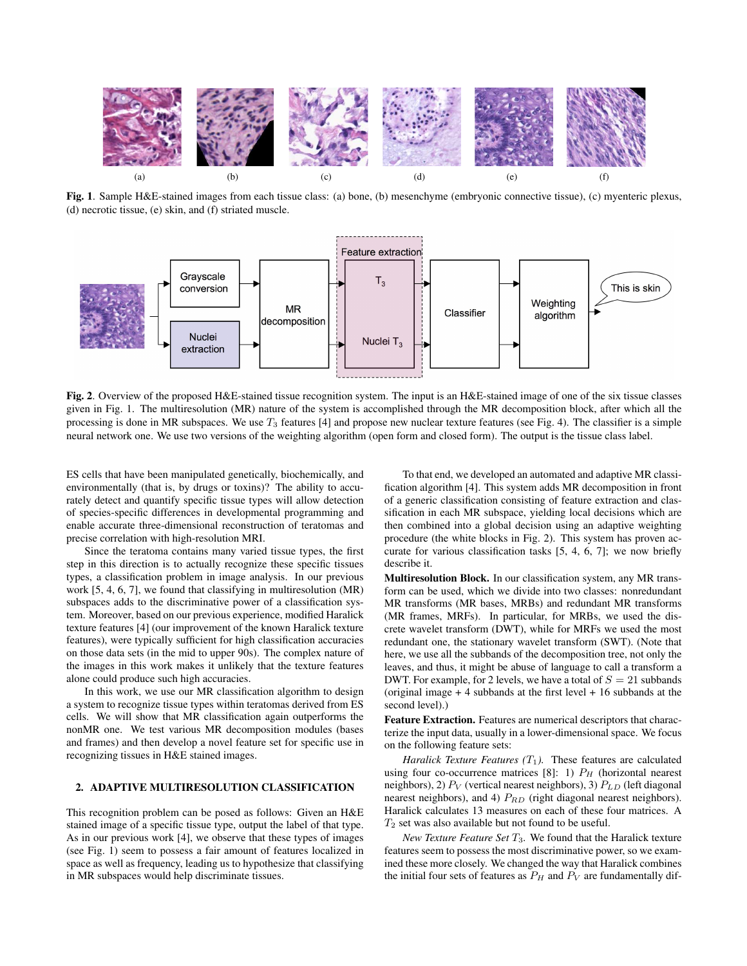

Fig. 1. Sample H&E-stained images from each tissue class: (a) bone, (b) mesenchyme (embryonic connective tissue), (c) myenteric plexus, (d) necrotic tissue, (e) skin, and (f) striated muscle.



Fig. 2. Overview of the proposed H&E-stained tissue recognition system. The input is an H&E-stained image of one of the six tissue classes given in Fig. 1. The multiresolution (MR) nature of the system is accomplished through the MR decomposition block, after which all the processing is done in MR subspaces. We use  $T_3$  features [4] and propose new nuclear texture features (see Fig. 4). The classifier is a simple neural network one. We use two versions of the weighting algorithm (open form and closed form). The output is the tissue class label.

ES cells that have been manipulated genetically, biochemically, and environmentally (that is, by drugs or toxins)? The ability to accurately detect and quantify specific tissue types will allow detection of species-specific differences in developmental programming and enable accurate three-dimensional reconstruction of teratomas and precise correlation with high-resolution MRI.

Since the teratoma contains many varied tissue types, the first step in this direction is to actually recognize these specific tissues types, a classification problem in image analysis. In our previous work [5, 4, 6, 7], we found that classifying in multiresolution (MR) subspaces adds to the discriminative power of a classification system. Moreover, based on our previous experience, modified Haralick texture features [4] (our improvement of the known Haralick texture features), were typically sufficient for high classification accuracies on those data sets (in the mid to upper 90s). The complex nature of the images in this work makes it unlikely that the texture features alone could produce such high accuracies.

In this work, we use our MR classification algorithm to design a system to recognize tissue types within teratomas derived from ES cells. We will show that MR classification again outperforms the nonMR one. We test various MR decomposition modules (bases and frames) and then develop a novel feature set for specific use in recognizing tissues in H&E stained images.

## 2. ADAPTIVE MULTIRESOLUTION CLASSIFICATION

This recognition problem can be posed as follows: Given an H&E stained image of a specific tissue type, output the label of that type. As in our previous work [4], we observe that these types of images (see Fig. 1) seem to possess a fair amount of features localized in space as well as frequency, leading us to hypothesize that classifying in MR subspaces would help discriminate tissues.

To that end, we developed an automated and adaptive MR classification algorithm [4]. This system adds MR decomposition in front of a generic classification consisting of feature extraction and classification in each MR subspace, yielding local decisions which are then combined into a global decision using an adaptive weighting procedure (the white blocks in Fig. 2). This system has proven accurate for various classification tasks [5, 4, 6, 7]; we now briefly describe it.

Multiresolution Block. In our classification system, any MR transform can be used, which we divide into two classes: nonredundant MR transforms (MR bases, MRBs) and redundant MR transforms (MR frames, MRFs). In particular, for MRBs, we used the discrete wavelet transform (DWT), while for MRFs we used the most redundant one, the stationary wavelet transform (SWT). (Note that here, we use all the subbands of the decomposition tree, not only the leaves, and thus, it might be abuse of language to call a transform a DWT. For example, for 2 levels, we have a total of  $S = 21$  subbands (original image  $+4$  subbands at the first level  $+16$  subbands at the second level).)

Feature Extraction. Features are numerical descriptors that characterize the input data, usually in a lower-dimensional space. We focus on the following feature sets:

*Haralick Texture Features*  $(T_1)$ . These features are calculated using four co-occurrence matrices [8]: 1)  $P_H$  (horizontal nearest neighbors), 2)  $P_V$  (vertical nearest neighbors), 3)  $P_{LD}$  (left diagonal nearest neighbors), and 4)  $P_{RD}$  (right diagonal nearest neighbors). Haralick calculates 13 measures on each of these four matrices. A  $T_2$  set was also available but not found to be useful.

*New Texture Feature Set* T3*.* We found that the Haralick texture features seem to possess the most discriminative power, so we examined these more closely. We changed the way that Haralick combines the initial four sets of features as  $P_H$  and  $P_V$  are fundamentally dif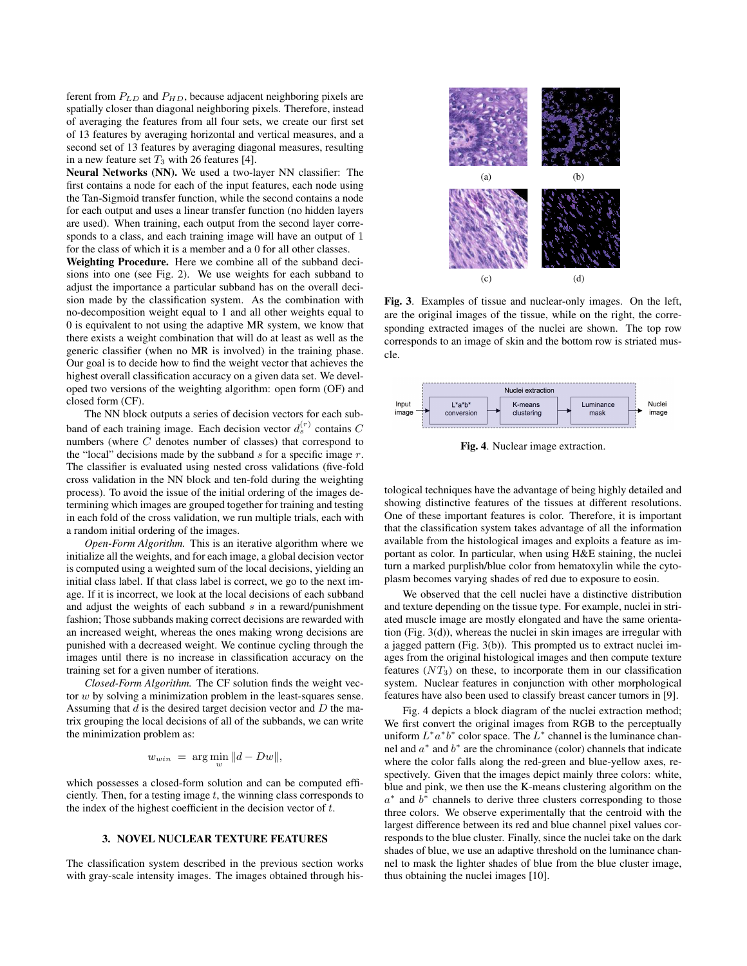ferent from  $P_{LD}$  and  $P_{HD}$ , because adjacent neighboring pixels are spatially closer than diagonal neighboring pixels. Therefore, instead of averaging the features from all four sets, we create our first set of 13 features by averaging horizontal and vertical measures, and a second set of 13 features by averaging diagonal measures, resulting in a new feature set  $T_3$  with 26 features [4].

Neural Networks (NN). We used a two-layer NN classifier: The first contains a node for each of the input features, each node using the Tan-Sigmoid transfer function, while the second contains a node for each output and uses a linear transfer function (no hidden layers are used). When training, each output from the second layer corresponds to a class, and each training image will have an output of 1 for the class of which it is a member and a 0 for all other classes.

Weighting Procedure. Here we combine all of the subband decisions into one (see Fig. 2). We use weights for each subband to adjust the importance a particular subband has on the overall decision made by the classification system. As the combination with no-decomposition weight equal to 1 and all other weights equal to 0 is equivalent to not using the adaptive MR system, we know that there exists a weight combination that will do at least as well as the generic classifier (when no MR is involved) in the training phase. Our goal is to decide how to find the weight vector that achieves the highest overall classification accuracy on a given data set. We developed two versions of the weighting algorithm: open form (OF) and closed form (CF).

The NN block outputs a series of decision vectors for each subband of each training image. Each decision vector  $d_s^{(r)}$  contains C numbers (where C denotes number of classes) that correspond to the "local" decisions made by the subband  $s$  for a specific image  $r$ . The classifier is evaluated using nested cross validations (five-fold cross validation in the NN block and ten-fold during the weighting process). To avoid the issue of the initial ordering of the images determining which images are grouped together for training and testing in each fold of the cross validation, we run multiple trials, each with a random initial ordering of the images.

*Open-Form Algorithm.* This is an iterative algorithm where we initialize all the weights, and for each image, a global decision vector is computed using a weighted sum of the local decisions, yielding an initial class label. If that class label is correct, we go to the next image. If it is incorrect, we look at the local decisions of each subband and adjust the weights of each subband  $s$  in a reward/punishment fashion; Those subbands making correct decisions are rewarded with an increased weight, whereas the ones making wrong decisions are punished with a decreased weight. We continue cycling through the images until there is no increase in classification accuracy on the training set for a given number of iterations.

*Closed-Form Algorithm.* The CF solution finds the weight vector w by solving a minimization problem in the least-squares sense. Assuming that  $d$  is the desired target decision vector and  $D$  the matrix grouping the local decisions of all of the subbands, we can write the minimization problem as:

$$
w_{win} = \arg\min_{w} ||d - Dw||,
$$

which possesses a closed-form solution and can be computed efficiently. Then, for a testing image  $t$ , the winning class corresponds to the index of the highest coefficient in the decision vector of  $t$ .

# 3. NOVEL NUCLEAR TEXTURE FEATURES

The classification system described in the previous section works with gray-scale intensity images. The images obtained through his-



Fig. 3. Examples of tissue and nuclear-only images. On the left, are the original images of the tissue, while on the right, the corresponding extracted images of the nuclei are shown. The top row corresponds to an image of skin and the bottom row is striated muscle.



Fig. 4. Nuclear image extraction.

tological techniques have the advantage of being highly detailed and showing distinctive features of the tissues at different resolutions. One of these important features is color. Therefore, it is important that the classification system takes advantage of all the information available from the histological images and exploits a feature as important as color. In particular, when using H&E staining, the nuclei turn a marked purplish/blue color from hematoxylin while the cytoplasm becomes varying shades of red due to exposure to eosin.

We observed that the cell nuclei have a distinctive distribution and texture depending on the tissue type. For example, nuclei in striated muscle image are mostly elongated and have the same orientation (Fig. 3(d)), whereas the nuclei in skin images are irregular with a jagged pattern (Fig. 3(b)). This prompted us to extract nuclei images from the original histological images and then compute texture features  $(NT_3)$  on these, to incorporate them in our classification system. Nuclear features in conjunction with other morphological features have also been used to classify breast cancer tumors in [9].

Fig. 4 depicts a block diagram of the nuclei extraction method; We first convert the original images from RGB to the perceptually uniform  $L^* a^* b^*$  color space. The  $L^*$  channel is the luminance channel and  $a^*$  and  $b^*$  are the chrominance (color) channels that indicate where the color falls along the red-green and blue-yellow axes, respectively. Given that the images depict mainly three colors: white, blue and pink, we then use the K-means clustering algorithm on the  $a^*$  and  $b^*$  channels to derive three clusters corresponding to those three colors. We observe experimentally that the centroid with the largest difference between its red and blue channel pixel values corresponds to the blue cluster. Finally, since the nuclei take on the dark shades of blue, we use an adaptive threshold on the luminance channel to mask the lighter shades of blue from the blue cluster image, thus obtaining the nuclei images [10].